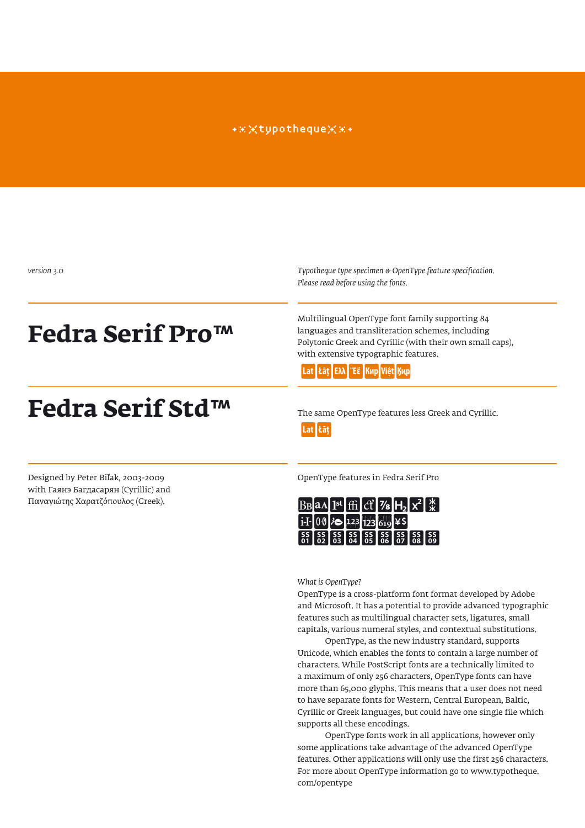#### \*\*\*tupotheque\*\*\*

*version 3.0*

# **Fedra Serif Pro™**

# **Fedra Serif Std™**

*Typotheque type specimen & OpenType feature specification. Please read before using the fonts.*

Multilingual OpenType font family supporting 84 languages and transliteration schemes, including Polytonic Greek and Cyrillic (with their own small caps), with extensive typographic features.



The same OpenType features less Greek and Cyrillic. Lat Łāt

with Гаянэ Багдасарян (Cyrillic) and Παναγιώτης Χαρατζόπουλος (Greek).

Designed by Peter Biľak, 2003-2009 OpenType features in Fedra Serif Pro

| $B_B$ aa Ist ffi $c^2$ /8 $H_2$ $x^2$ $x$                                                                                                                                                                                                                                                                                 |  |  |  |  |
|---------------------------------------------------------------------------------------------------------------------------------------------------------------------------------------------------------------------------------------------------------------------------------------------------------------------------|--|--|--|--|
| $1-\frac{1}{2}$ 00 $\frac{1}{2}$ 123 $\frac{1}{2}$ 123 $\frac{6}{19}$ ¥\$                                                                                                                                                                                                                                                 |  |  |  |  |
| $\begin{bmatrix} 55 \\ 01 \end{bmatrix} \begin{bmatrix} 55 \\ 02 \end{bmatrix} \begin{bmatrix} 55 \\ 03 \end{bmatrix} \begin{bmatrix} 55 \\ 04 \end{bmatrix} \begin{bmatrix} 55 \\ 05 \end{bmatrix} \begin{bmatrix} 55 \\ 07 \end{bmatrix} \begin{bmatrix} 55 \\ 08 \end{bmatrix} \begin{bmatrix} 55 \\ 09 \end{bmatrix}$ |  |  |  |  |

*What is OpenType?*

OpenType is a cross-platform font format developed by Adobe and Microsoft. It has a potential to provide advanced typographic features such as multilingual character sets, ligatures, small capitals, various numeral styles, and contextual substitutions.

OpenType, as the new industry standard, supports Unicode, which enables the fonts to contain a large number of characters. While PostScript fonts are a technically limited to a maximum of only 256 characters, OpenType fonts can have more than 65,000 glyphs. This means that a user does not need to have separate fonts for Western, Central European, Baltic, Cyrillic or Greek languages, but could have one single file which supports all these encodings.

OpenType fonts work in all applications, however only some applications take advantage of the advanced OpenType features. Other applications will only use the first 256 characters. For more about OpenType information go to www.typotheque. com/opentype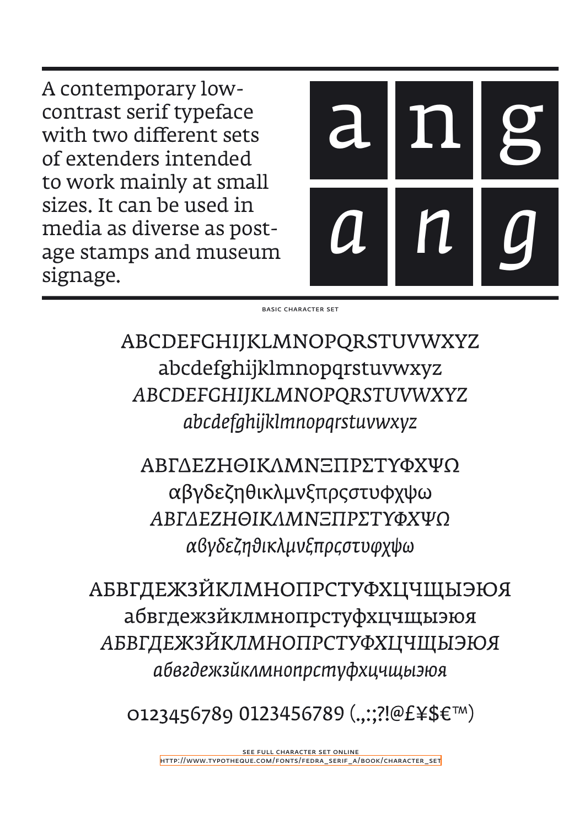A contemporary lowcontrast serif typeface with two different sets of extenders intended to work mainly at small sizes. It can be used in media as diverse as postage stamps and museum signage.



basic character set

ABCDEFGHIJKLMNOPQRSTUVWXYZ abcdefghijklmnopqrstuvwxyz ABCDEFGHIJKLMNOPQRSTUVWXYZ abcdefghijklmnopqrstuvwxyz

ΑΒΓΔΕΖΗΘΙΚΛΜΝΞΠΡΣΤΥΦΧΨΩ αβγδεζηθικλμνξπρςστυφχψω ΑΒΓΛΕΖΗΘΙΚΛΜΝΞΠΡΣΤΥΦΧΨΟ αβγδεζηθικλμνξπρςστυφχψω

**АБВГДЕЖЗЙКЛМНОПРСТУФХЦЧЩЫЭЮЯ** абвгдежзйклмнопрстуфхцчщыэюя **АБВГДЕЖЗЙКЛМНОПРСТУФХЦЧЩЫЭЮЯ** абвгдежзйклмнопрстуфхцчщыэюя

O123456789 0123456789 (...:?!@£¥\$€™)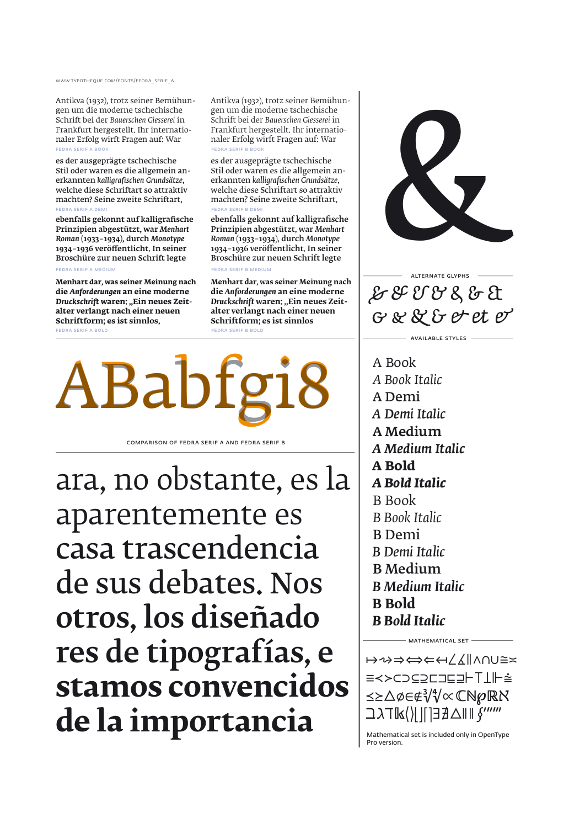www.typotheque.com/fonts/fedra\_serif\_a

Antikva (1932), trotz seiner Bemühungen um die moderne tschechische Schrift bei der *Bauerschen Giesserei* in Frankfurt hergestellt. Ihr internationaler Erfolg wirft Fragen auf: War FEDRA SERIF A B

es der ausgeprägte tschechische Stil oder waren es die allgemein anerkannten *kalligrafischen Grundsätze*, welche diese Schriftart so attraktiv machten? Seine zweite Schriftart, fedra serif a demi

ebenfalls gekonnt auf kalligrafische Prinzipien abgestützt, war *Menhart Roman* (1933–1934), durch *Monotype* 1934–1936 veröffentlicht. In seiner Broschüre zur neuen Schrift legte fedra serif a medium

**Menhart dar, was seiner Meinung nach die** *Anforderungen* **an eine moderne Druckschrift waren: "Ein neues Zeitalter verlangt nach einer neuen Schriftform; es ist sinnlos,**

FEDRA SERIF A BOL

Antikva (1932), trotz seiner Bemühungen um die moderne tschechische Schrift bei der *Bauerschen Giesserei* in Frankfurt hergestellt. Ihr internationaler Erfolg wirft Fragen auf: War FEDRA SERIF B B

es der ausgeprägte tschechische Stil oder waren es die allgemein anerkannten *kalligrafischen Grundsätze*, welche diese Schriftart so attraktiv machten? Seine zweite Schriftart, fedra serif b demi

ebenfalls gekonnt auf kalligrafische Prinzipien abgestützt, war *Menhart Roman* (1933–1934), durch *Monotype* 1934–1936 veröffentlicht. In seiner Broschüre zur neuen Schrift legte fedra serif b medium

**Menhart dar, was seiner Meinung nach die** *Anforderungen* **an eine moderne Druckschrift** waren: "Ein neues Zeit**alter verlangt nach einer neuen Schriftform; es ist sinnlos**

**FEDRA SERIF B BO** 



comparison of fedra serif a and fedra serif b

ara, no obstante, es la aparentemente es casa trascendencia de sus debates. Nos otros, los diseñado res de tipografías, e **stamos convencidos de la importancia**  $\frac{|\lambda|^{|\lambda|}}{\lambda}$  and  $\frac{|\lambda|^{|\lambda|}}{\lambda}$  and  $\frac{|\lambda|^{|\lambda|}}{\lambda}$  and  $\frac{|\lambda|^{|\lambda|}}{\lambda}$  and  $\frac{|\lambda|^{|\lambda|}}{\lambda}$  and  $\frac{|\lambda|^{|\lambda|}}{\lambda}$  and  $\frac{|\lambda|}{\lambda}$  construes



&&&&&&& &&&&&&& alternate glyphs

available styles

 A Book  *A Book Italic* A Demi  *A Demi Italic* A Medium  *A Medium Italic*  **A Bold**  *A Bold Italic* B Book  *B Book Italic* B Demi  *B Demi Italic* B Medium  *B Medium Italic*  **B Bold**  *B Bold Italic*

↦⇝⇒⇔⇐↤∠∡∥∧∩∪≅≍ ≡≺≻⊂⊃⊆⊇⊏⊐⊑⊒⊢⊤⊥⊩⩭ ⪯⪰△∅∈∉∛∜∝ℂ�℘ℝℵ ℶℷℸ⟨⟩⌈⌉⌊⌋∃∄△� ∮′″‴

 $-$  MATHEMATICAL SET  $-$ 

Pro version.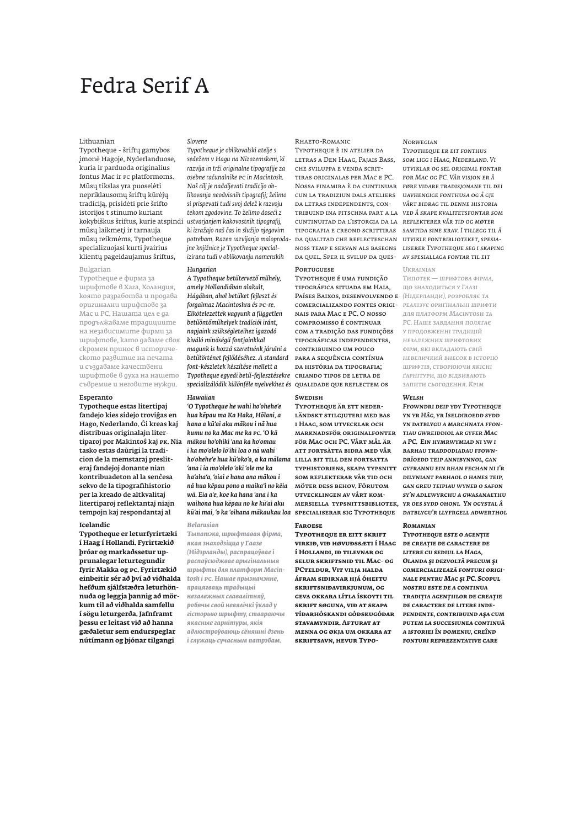## Fedra Serif A

#### Lithuanian

Typotheque - šriftų gamybos įmonė Hagoje, Nyderlanduose, kuria ir parduoda originalius fontus Mac ir PC platformoms. Mūsų tikslas yra puoselėti nepriklausomų šriftų kūrėjų tradiciją, prisidėti prie šrifto istorijos t stinumo kuriant kokybiškus šriftus, kurie atspindi mūsų laikmetį ir tarnauja mūsų reikmėms. Typotheque specializuojasi kurti įvairius klientų pageidaujamus šriftus,

#### Bulgarian

Typotheque е фирма за шрифтове в Хага, Холандия, която разработва и продава оригинални шрифтове за Mac и PC. Нашата цел е да продължаваме традициите на независимите фирми за шрифтове, като даваме своя скромен принос в историческото развитие на печата и създаваме качествени шрифтове в духа на нашето съвремие и неговите нужди.

#### Esperanto

Typotheque estas litertipaj fandejo kies sidejo troviĝas en Hago, Nederlando. Ĝi kreas kaj distribuas originalajn litertiparoj por Makintoŝ kaj PK. Nia tasko estas daŭrigi la tradicion de la memstaraj presliteraj fandejoj donante nian kontribuadeton al la senĉesa sekvo de la tipografihistorio per la kreado de altkvalitaj litertiparoj reflektantaj niajn tempojn kaj respondantaj al

#### **Icelandic**

**Typotheque er leturfyrirtæki í Haag í Hollandi. Fyrirtækið þróar og markaðssetur upprunalegar leturtegundir fyrir Makka og PC. Fyrirtækið einbeitir sér að því að viðhalda hefðum sjálfstæðra leturhönnuða og leggja þannig að mörkum til að viðhalda samfellu í sögu leturgerða. Jafnframt þessu er leitast við að hanna gæðaletur sem endurspeglar nútímann og þjónar tilgangi** 

#### *Slovene*

*Typotheque je oblikovalski atelje s sedežem v Hagu na Nizozemskem, ki razvija in trži originalne tipografije za osebne računalnike PC in Macintosh. Naš cilj je nadaljevati tradicijo oblikovanja neodvisnih tipografij; želimo si prispevati tudi svoj delež k razvoju tekom zgodovine. To želimo doseći z ustvarjanjem kakovostnih tipografij, ki izražajo naš čas in služijo njegovim potrebam. Razen razvijanja maloprodajne knjižnice je Typotheque specializirana tudi v oblikovanju namenskih* 

#### *Hungarian*

*A Typotheque betűtervező műhely, amely Hollandiában alakult, Hágában, ahol betűket fejleszt és forgalmaz Macintoshra és PC-re. Elkötelezettek vagyunk a független betűöntőműhelyek tradíciói iránt, napjaink szükségleteihez igazodó kiváló minőségű fontjainkkal magunk is hozzá szeretnénk járulni a betűtörténet fejlődéséhez. A standard font-készletek készítése mellett a Typotheque egyedi betű-fejlesztésekre*  criando tipos de letra de *specializálódik különféle nyelvekhez és*  qualidade que reflectem os

#### *Hawaiian*

*'O Typotheque he wahi ho'ohehe'e hua kēpau ma Ka Haka, Hōlani, a hana a kū'ai aku mākou i nā hua kumu no ka Mac me ka PC. 'O kā mākou ho'ohiki 'ana ka ho'omau i ka mo'olelo lō'ihi loa o nā wahi ho'ohehe'e hua kū'oko'a, a ka mālama*  lilla bit till den fortsatta *'ana i ia mo'olelo 'oki 'ole me ka ha'aha'a, 'oiai e hana ana mākou i nā hua kēpau pono a maika'i no kēia wā. Eia a'e, koe ka hana 'ana i ka waihona hua kēpau no ke kū'ai aku kū'ai mai, 'o ka 'oihana mākaukau loa*  specialiserar sig Typotheque *datblygu'r llyfrgell adwerthol* 

#### *Belarusian*

*Тыпатэка, шрыфтавая фірма, якая знаходзіцца у Гаазе (Нідэрланды), распрацоўвае і распаўсюджвае арыгінальныя шрыфты для платформ Macintosh і PC. Нашае прызначэнне, працягваць традыцыі незалежных славалітняў, робячы свой невялічкі ўклад у гісторыю шрыфту, ствараючы якасные гарнітуры, якія адлюстроўваюць сёняшні дзень і служаць сучасным патрэбам.* 

#### Rhaeto-Romanic

Typotheque è in atelier da letras a Den Haag, Pajais Bass, che sviluppa e venda scrittiras originalas per Mac e PC. Nossa finamira è da cuntinuar *føre vidare tradisjonane til dei*  cun la tradiziun dals ateliers *uavhengige fonthusa og å gje*  da letras independents, contribuind ina pitschna part a la *ved å skape kvalitetsfontar som*  cuntinuitad da l'istorgia da la *reflekterer vår tid og møter*  tipografia e creond scrittiras *samtida sine krav. I tillegg til å*  da qualitad che reflecteschan *utvikle fontbiblioteket, spesia*da quel. Sper il svilup da ques-*av spesiallaga fontar til eit* 

#### **PORTUGUESE**

Typotheque é uma fundição tipográfica situada em Haia, Países Baixos, desenvolvendo e *(Нідерланди), розробляє та*  comercializando fontes origi-*реалізує ориґінальні шрифти*  nais para Mac e PC. O nosso compromisso é continuar com a tradição das fundições tipográficas independentes, contribuindo um pouco para a sequência contínua da história da tipografia;

### **Swedish**

Typotheque är ett neder-LÄNDSKT STILGJUTERI MED BAS i Haag, som utvecklar och marknadsför originalfonter för Mac och PC. Vårt mål är att fortsätta bidra med vår typhistoriens, skapa typsnitt som reflekterar vår tid och möter dess behov. Förutom utvecklingen av vårt kommersiella typsnittsbibliotek, *yr oes sydd ohoni. Yn ogystal â* 

#### **Faroese**

**Typotheque er eitt skrift virkið, við høvuðssæti í Haag í Hollandi, ið tilevnar og selur skriftsnið til Mac- og PCteldur. Vit vilja halda áfram siðirnar hjá óheftu skriftsniðavirkjunum, og geva okkara lítla ískoyti til skrift søguna, við at skapa tíðarhóskandi góðskugóðar stavamyndir. Afturat at menna og økja um okkara at skriftsavn, hevur Typo-**

#### *Norwegian*

noss temp e servan als basegns *liserer Typotheque seg i skaping Typotheque er eit fonthus som ligg i Haag, Nederland. Vi utviklar og sel original fontar for Mac og PC. Vår visjon er å vårt bidrag til denne historia* 

*Ukrainian*

*Типотек — шрифтова фірма, що знаходиться у Гаазі для платформ Macintosh та PC. Наше завдання полягає у продовженні традицій незалежних шрифтових фірм, які вкладають свій невеличкий внесок в історію шрифтів, створюючи якісні ґарнітури, що відбивають запити сьогодення. Крім* 

*Welsh Ffowndri deip ydy Typotheque yn yr Hâg, yr Iseldiroedd sydd yn datblygu a marchnata ffontiau gwreiddiol ar gyfer Mac a PC. Ein hymrwymiad ni yw i barhau traddodiadau ffowndrïoedd teip annibynnol, gan gyfrannu ein rhan fechan ni i'r dilyniant parhaol o hanes teip, gan greu teipiau wyneb o safon sy'n adlewyrchu a gwasanaethu* 

#### *Romanian*

*Typotheque este o agenţie de creaţie de caractere de litere cu sediul la Haga, Olanda şi dezvoltă precum şi comercializează fonturi originale pentru Mac şi PC. Scopul nostru este de a continua tradiţia agenţiilor de creaţie de caractere de litere independente, contribuind aşa cum putem la succesiunea continuă a istoriei în domeniu, creînd fonturi reprezentative care*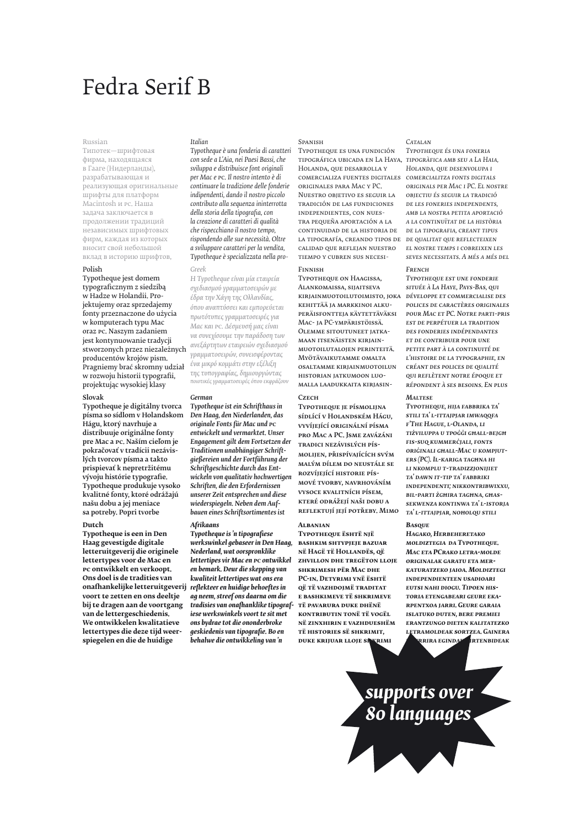# Fedra Serif B

#### Russian

Типотек—шрифтовая фирма, находящаяся в Гааге (Нидерланды), разрабатывающая и реализующая оригинальные шрифты для платформ Macintosh и PC. Наша задача заключается в продолжении традиций независимых шрифтовых фирм, каждая из которых вносит свой небольшой вклад в историю шрифтов,

#### Polish

Typotheque jest domem typograficznym z siedzibą w Hadze w Holandii. Projektujemy oraz sprzedajemy fonty przeznaczone do użycia w komputerach typu Mac oraz PC. Naszym zadaniem jest kontynuowanie tradycji stworzonych przez niezależnych producentów krojów pism. Pragniemy brać skromny udział w rozwoju historii typografii, projektując wysokiej klasy

#### Slovak

Typotheque je digitálny tvorca písma so sídlom v Holandskom Hágu, ktorý navrhuje a distribuuje originálne fonty pre Mac a PC. Naším cieľom je pokračovať v tradícii nezávislých tvorcov písma a takto prispievať k nepretržitému vývoju histórie typografie. Typotheque produkuje vysoko kvalitné fonty, ktoré odrážajú našu dobu a jej meniace sa potreby. Popri tvorbe

#### **Dutch**

**Typotheque is een in Den Haag gevestigde digitale letteruitgeverij die originele lettertypes voor de Mac en PC ontwikkelt en verkoopt. Ons doel is de tradities van onafhankelijke letteruitgeverij**  *reflekteer en huidige behoeftes in*  **voort te zetten en ons deeltje bij te dragen aan de voortgang van de lettergeschiedenis. We ontwikkelen kwalitatieve lettertypes die deze tijd weerspiegelen en die de huidige** 

#### *Italian*

*Typotheque è una fonderia di caratteri con sede a L'Aia, nei Paesi Bassi, che sviluppa e distribuisce font originali per Mac e PC. Il nostro intento è di continuare la tradizione delle fonderie indipendenti, dando il nostro piccolo contributo alla sequenza ininterrotta della storia della tipografia, con la creazione di caratteri di qualità che rispecchiano il nostro tempo, rispondendo alle sue necessità. Oltre a sviluppare caratteri per la vendita, Typotheque è specializzata nella pro-*

#### *Greek*

*Η Typotheque είναι μία εταιρεία σχεδιασμού γραμματοσειρών με έδρα την Χάγη της Ολλανδίας, όπου αναπτύσσει και εμπορεύεται πρωτότυπες γραμματοσειρές για Mac και PC. Δέσμευσή μας είναι να συνεχίσουμε την παράδοση των ανεξάρτητων εταιρειών σχεδιασμού γραμματοσειρών, συνεισφέροντας ένα μικρό κομμάτι στην εξέλιξη της τυπογραφίας, δημιουργώντας ποιοτικές γραμματοσειρές όπου εκφράζουν* 

#### *German*

*Typotheque ist ein Schrifthaus in Den Haag, den Niederlanden, das originale Fonts für Mac und PC entwickelt und vermarktet. Unser Engagement gilt dem Fortsetzen der Traditionen unabhängiger Schriftgießereien und der Fortführung der Schriftgeschichte durch das Entwickeln von qualitativ hochwertigen Schriften, die den Erfordernissen unserer Zeit entsprechen und diese wiederspiegeln. Neben dem Aufbauen eines Schriftsortimentes ist* 

#### *Afrikaans*

*Typotheque is 'n tipografiese werkswinkel gebaseer in Den Haag, Nederland, wat oorspronklike lettertipes vir Mac en PC ontwikkel en bemark. Deur die skepping van kwaliteit lettertipes wat ons era ag neem, streef ons daarna om die tradisies van onafhanklike tipografiese werkswinkels voort te sit met ons bydrae tot die ononderbroke geskiedenis van tipografie. Bo en behalwe die ontwikkeling van 'n* 

#### **SPANISH**

Typotheque es una fundición tipográfica ubicada en La Haya, Holanda, que desarrolla y comercializa fuentes digitales *comercialitza fonts digitals*  originales para Mac y PC. Nuestro objetivo es seguir la tradición de las fundiciones independientes, con nuestra pequeña aportación a la continuidad de la historia de la tipografía, creando tipos de *de qualitat que reflecteixen*  calidad que reflejan nuestro tiempo y cubren sus necesi-

#### Finnish

Typotheque on Haagissa, Alankomaissa, sijaitseva kirjainmuotoilutoimisto, joka kehittää ja markkinoi alkuperäisfontteja käytettäväksi Mac- ja PC-ympäristöissä. Olemme sitoutuneet jatkamaan itsenäisten kirjainmuotoilutalojen perinteitä. Myötävaikutamme omalta osaltamme kirjainmuotoilun historian jatkumoon luomalla laadukkaita kirjasin-

#### **Сzеcн**

Typotheque je písmolijna sídlící v Holandském Hágu, vyvíjející originální písma pro Mac a PC. Jsme zavázáni tradici nezávislých písmolijen, přispívajících svým malým dílem do neustále se rozvíjející historie písmové tvorby, navrhováním vysoce kvalitních písem, které odrážejí naši dobu a reflektují její potřeby. Mimo

#### **Albanian**

**Typotheque është një bashkim shtypjeje bazuar në Hagë të Hollandës, që zhvillon dhe tregëton lloje shkrimesh për Mac dhe PC-in. Detyrimi ynë është që të vazhdojmë traditat e bashkimeve të shkrimeve të pavarura duke dhënë kontributin tonë të vogël në zinxhirin e vazhdueshëm të histories së shkrimit, DUKE KRIJUAR LLOJE SH** 

#### *Catalan*

*Typotheque és una foneria tipogràfica amb seu a La Haia, Holanda, que desenvolupa i originals per Mac i PC. El nostre objectiu és seguir la tradició de les foneries independents, amb la nostra petita aportació a la continuïtat de la història de la tipografia, creant tipus el nostre temps i cobreixen les seves necessitats. A més a més del* 

#### *French*

*Typotheque est une fonderie située à La Haye, Pays-Bas, qui développe et commercialise des polices de caractères originales pour Mac et PC. Notre parti-pris est de perpétuer la tradition des fonderies indépendantes et de contribuer pour une petite part à la continuité de l'histoire de la typographie, en créant des polices de qualité qui reflètent notre époque et répondent à ses besoins. En plus* 

#### *Maltese*

*Typotheque, hija fabbrika ta' stili ta' l-ittajpjar imwaqqfa f'The Hague, l-Olanda, li tiżviluppa u tpoġġi għall-bejgħ fis-suq kummerċjali, fonts oriġinali għall-Mac u kompjuters (PC). Il-kariga tagħna hi li nkomplu t-tradizzjonijiet ta' dawn it-tip ta' fabbriki independenti; nikkontribwixxu, bil-parti żgħira tagħna, għassekwenza kontinwa ta' l-istorja ta' l-ittajpjar, noħolqu stili* 

#### *Basque*

*Hagako, Herbeheretako moldiztegia da Typotheque. Mac eta PCrako letra-molde originalak garatu eta merkaturatzeko jaioa. Moldiztegi independienteen usadioari eutsi nahi diogu. Tipoen historia etengabeari geure ekarpentxoa jarri. Geure garaia islatuko duten, bere premiei erantzungo dieten kalitatezko letramoldeak sortzea. Gainera neurrira egindako irtenbideak* 

*supports over 80 languages*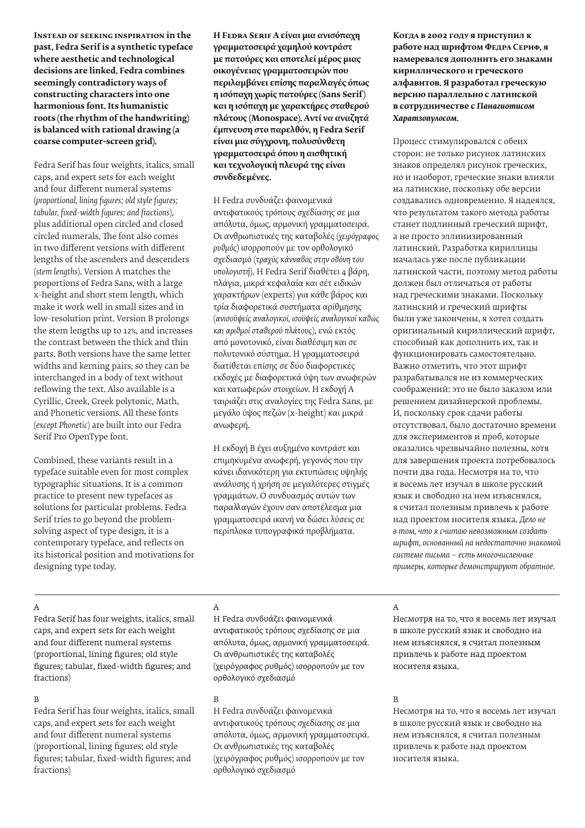**Instead of seeking inspiration in the past, Fedra Serif is a synthetic typeface where aesthetic and technological decisions are linked. Fedra combines seemingly contradictory ways of constructing characters into one harmonious font. Its humanistic roots (the rhythm of the handwriting) is balanced with rational drawing (a coarse computer-screen grid).**

Fedra Serif has four weights, italics, small caps, and expert sets for each weight and four different numeral systems (*proportional, lining figures; old style figures; tabular, fixed-width figures; and fractions*), plus additional open circled and closed circled numerals. The font also comes in two different versions with different lengths of the ascenders and descenders (*stem lengths*). Version A matches the proportions of Fedra Sans, with a large x-height and short stem length, which make it work well in small sizes and in low-resolution print. Version B prolongs the stem lengths up to 12%, and increases the contrast between the thick and thin parts. Both versions have the same letter widths and kerning pairs, so they can be interchanged in a body of text without reflowing the text. Also available is a Cyrillic, Greek, Greek polytonic, Math, and Phonetic versions. All these fonts (*except Phonetic*) are built into our Fedra Serif Pro OpenType font.

Combined, these variants result in a typeface suitable even for most complex typographic situations. It is a common practice to present new typefaces as solutions for particular problems. Fedra Serif tries to go beyond the problemsolving aspect of type design, it is a contemporary typeface, and reflects on its historical position and motivations for designing type today.

**H Fedra Serif A είναι μια ανισόπαχη γραμματοσειρά χαμηλού κοντράστ με πατούρες και αποτελεί μέρος μιας οικογένειας γραμματοσειρών που περιλαμβάνει επίσης παραλλαγές όπως η ισόπαχη χωρίς πατούρες (Sans Serif) και η ισόπαχη με χαρακτήρες σταθερού πλάτους (Monospace). Aντί να αναζητά έμπνευση στο παρελθόν, η Fedra Serif είναι μια σύγχρονη, πολυσύνθετη γραμματοσειρά όπου η αισθητική και τεχνολογική πλευρά της είναι συνδεδεμένες.**

H Fedra συνδυάζει φαινομενικά αντιφατικούς τρόπους σχεδίασης σε μια απόλυτα, όμως, αρμονική γραμματοσειρά. Oι ανθρωπιστικές της καταβολές (*χειρόγραφος ρυθμός*) ισορροπούν με τον ορθολογικό σχεδιασμό (*τραχύς κάνναβος στην οθόνη του υπολογιστή*). H Fedra Serif διαθέτει 4 βάρη, πλάγια, μικρά κεφαλαία και σέτ ειδικών χαρακτήρων (experts) για κάθε βάρος και τρία διαφορετικά συστήματα αρίθμησης (*ανισοϋψείς αναλογικοί, ισοϋψείς αναλογικοί καθώς και αριθμοί σταθερού πλάτους*), ενώ εκτός από μονοτονικό, είναι διαθέσιμη και σε πολυτονικό σύστημα. H γραμματοσειρά διατίθεται επίσης σε δύο διαφορετικές εκδοχές με διαφορετικά ύψη των ανωφερών και κατωφερών στοιχείων. H εκδοχή A ταιριάζει στις αναλογίες της Fedra Sans, με μεγάλο ύψος πεζών (x-height) και μικρά ανωφερή.

H εκδοχή B έχει αυξημένο κοντράστ και επιμηκυμένα ανωφερή, γεγονός που την κάνει ιδανικότερη για εκτυπώσεις υψηλής ανάλυσης ή χρήση σε μεγαλύτερες στιγμές γραμμάτων. O συνδυασμός αυτών των παραλλαγών έχουν σαν αποτέλεσμα μια γραμματοσειρά ικανή να δώσει λύσεις σε περίπλοκα τυπογραφικά προβλήματα.

**Когда в 2002 году я приступил к работе над шрифтом Федра Сериф, я намеревался дополнить его знаками кириллического и греческого алфавитов. Я разработал греческую версию параллельно с латинской в сотрудничестве с** *Панагиотисом Харатзопулосом.* 

Процесс стимулировался с обеих сторон: не только рисунок латинских знаков определял рисунок греческих, но и наоборот, греческие знаки влияли на латинские, поскольку обе версии создавались одновременно. Я надеялся, что результатом такого метода работы станет подлинный греческий шрифт, а не просто эллинизированный латинский. Разработка кириллицы началась уже после публикации латинской части, поэтому метод работы должен был отличаться от работы над греческими знаками. Поскольку латинский и греческий шрифты были уже закончены, я хотел создать оригинальный кириллический шрифт, способный как дополнить их, так и функционировать самостоятельно. Важно отметить, что этот шрифт разрабатывался не из коммерческих соображений: это не было заказом или решением дизайнерской проблемы. И, поскольку срок сдачи работы отсутствовал, было достаточно времени для экспериментов и проб, которые оказались чрезвычайно полезны, хотя для завершения проекта потребовалось почти два года. Несмотря на то, что я восемь лет изучал в школе русский язык и свободно на нем изъяснялся, я считал полезным привлечь к работе над проектом носителя языка. *Дело не в том, что я считаю невозможным создать шрифт, основанный на недостаточно знакомой системе письма – есть многочисленные примеры, которые демонстрируют обратное.*

### A

Fedra Serif has four weights, italics, small caps, and expert sets for each weight and four different numeral systems (proportional, lining figures; old style figures; tabular, fixed-width figures; and fractions)

#### B

Fedra Serif has four weights, italics, small caps, and expert sets for each weight and four different numeral systems (proportional, lining figures; old style figures; tabular, fixed-width figures; and fractions)

#### A

H Fedra συνδυάζει φαινομενικά αντιφατικούς τρόπους σχεδίασης σε μια απόλυτα, όμως, αρμονική γραμματοσειρά. Oι ανθρωπιστικές της καταβολές (χειρόγραφος ρυθμός) ισορροπούν με τον ορθολογικό σχεδιασμό

#### B

H Fedra συνδυάζει φαινομενικά αντιφατικούς τρόπους σχεδίασης σε μια απόλυτα, όμως, αρμονική γραμματοσειρά. Oι ανθρωπιστικές της καταβολές (χειρόγραφος ρυθμός) ισορροπούν με τον ορθολογικό σχεδιασμό

### A

Несмотря на то, что я восемь лет изучал в школе русский язык и свободно на нем изъяснялся, я считал полезным привлечь к работе над проектом носителя языка.

### B

Несмотря на то, что я восемь лет изучал в школе русский язык и свободно на нем изъяснялся, я считал полезным привлечь к работе над проектом носителя языка.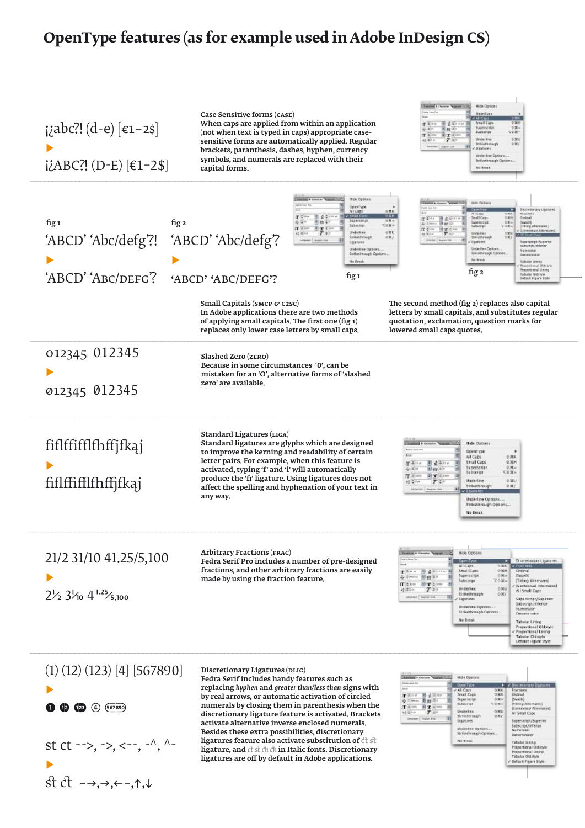### **OpenType features (as for example used in Adobe InDesign CS)**

¡¿abc?! (d-e) [€1–2\$] ▶  $\mathcal{L}$ ABC $\mathcal{L}$ ! (D-E) [EI-Z\$]

Case Sensitive forms (case) When caps are applied from within an application (not when text is typed in caps) appropriate casesensitive forms are automatically applied. Regular brackets, paranthesis, dashes, hyphen, currency symbols, and numerals are replaced with their capital forms.



| fig <sub>1</sub><br>'ABCD' 'Abc/defg'?!<br>'ABCD' 'ABC/DEFG'?                                             | fig <sub>2</sub><br>'ABCD' 'Abc/defg'?<br>'ABCD' 'ABC/DEFG'?                                                                                                                                                                                                                                                                                                        | <b>Chevrolet Magazin / Co</b><br>Hide Options<br>OpenType<br><b>ALCABE</b><br>白尾蛇<br><b>V Strak Cap</b><br><b>USH</b><br>田 まる line<br>Superstrip<br>日期。<br>图数字<br>Subscript<br>写白面=<br>T tim<br><b>Undertoon</b><br>市業日<br>$T+1$<br>Strikethrough<br>0 % 3<br>Ligatures<br>Underline Options<br>Strikerhrough Options.<br>No Break<br>fig 1 | Hide Ontare<br><b>Spectro</b><br>Discretionary Ugatures<br><b>Road Aven</b><br>Tier 田点4mm<br><b>Small Caps</b><br>12,909<br>Gedinal.<br><b>Падатител</b><br>1364<br>Seytehl<br>& Lines Bay In<br>(Titing Aberrates)<br><b>TOMA</b><br>liaboccipe<br>$IT+$<br>日本王<br>/ Stevenball Alternated<br><b>UNDER</b><br>330<br>48.216<br>$T$ :<br>Strictivide<br>930<br>aperteriptiSuperior<br>Ligatores<br>Subscript/Interior<br>Underline Options,<br><b>Биликасит</b><br>Strikethrough Options.<br>Desaward and<br>No lineak<br>Tabular Limma<br>raportional Oldstyk<br>Proportional Lining<br>fig 2<br>Tabular Oldstyle<br><b>Befault Figure Style</b>                                                                      |
|-----------------------------------------------------------------------------------------------------------|---------------------------------------------------------------------------------------------------------------------------------------------------------------------------------------------------------------------------------------------------------------------------------------------------------------------------------------------------------------------|---------------------------------------------------------------------------------------------------------------------------------------------------------------------------------------------------------------------------------------------------------------------------------------------------------------------------------------------|------------------------------------------------------------------------------------------------------------------------------------------------------------------------------------------------------------------------------------------------------------------------------------------------------------------------------------------------------------------------------------------------------------------------------------------------------------------------------------------------------------------------------------------------------------------------------------------------------------------------------------------------------------------------------------------------------------------------|
|                                                                                                           | Small Capitals (SMCP $G$ C2SC)<br>In Adobe applications there are two methods<br>of applying small capitals. The first one (fig 1)<br>replaces only lower case letters by small caps.                                                                                                                                                                               |                                                                                                                                                                                                                                                                                                                                             | The second method (fig 2) replaces also capital<br>letters by small capitals, and substitutes regular<br>quotation, exclamation, question marks for<br>lowered small caps quotes.                                                                                                                                                                                                                                                                                                                                                                                                                                                                                                                                      |
| 012345 012345<br>012345 012345                                                                            | Slashed Zero (ZERO)<br>Because in some circumstances '0', can be<br>mistaken for an 'O', alternative forms of 'slashed<br>zero' are available.                                                                                                                                                                                                                      |                                                                                                                                                                                                                                                                                                                                             |                                                                                                                                                                                                                                                                                                                                                                                                                                                                                                                                                                                                                                                                                                                        |
| fiflffifflfhffjfkaj<br>fiflffifflfhfffkaj                                                                 | Standard Ligatures (LIGA)<br>Standard ligatures are glyphs which are designed<br>to improve the kerning and readability of certain<br>letter pairs. For example, when this feature is<br>activated, typing 'f' and 'i' will automatically<br>produce the 'fi' ligature. Using ligatures does not<br>affect the spelling and hyphenation of your text in<br>any way. |                                                                                                                                                                                                                                                                                                                                             | <b>Station Charles Value</b><br><b>Hide Options</b><br><b>Pedra State Pr</b><br>OpenType<br>All Caps<br><b>OMK</b><br>Small Caps<br>2301<br>图蓝彩印刷<br>作中のの<br>Superscript<br>$0.84 -$<br>图 四 4><br><b>YO 実=</b><br>Subscript<br>01/17/10 13:00<br>Underline<br>立案U<br>T÷<br>Strikethrough<br>会演に<br>Underline Options<br>Strikethrough Optoni<br>No Break                                                                                                                                                                                                                                                                                                                                                               |
| 21/2 31/10 41.25/5,100<br>$2\frac{1}{2}3\frac{1}{10}4^{1.25}\frac{1}{5.100}$                              | <b>Arbitrary Fractions (FRAC)</b><br>Fedra Serif Pro includes a number of pre-designed<br>fractions, and other arbitrary fractions are easily<br>made by using the fraction feature.                                                                                                                                                                                |                                                                                                                                                                                                                                                                                                                                             | Hide Options<br>Discretionary Ligatures<br>- 3<br>CrienTyp<br>All Caps<br>日落图<br># Tractions<br>Small Caps<br>介護所<br>Ordinal<br>■ 森本(214.80)<br>$T = 0$ it as<br>$0.36 -$<br>(Swash)<br>Superscript<br>11 AV 11<br>Subscript:<br>工作第=<br>[Titling Alternates]<br>最低限回<br>$\mathbf{r}$ and $\mathbf{r}$<br>Contestual Alternates]<br>Uniterline<br>0.38M<br>$T \rightarrow$<br>经间间<br>All Small Caps<br>Strikethrough<br>13061<br>LINDINGS: BAGINA USA<br>Superncript/Superior<br>Lightunes<br>Subscript/Inferior<br>Linderline Options<br>Numerator<br>Strikethrough Options<br>Dersomi nato<br>No Break<br>Tabular Lining<br>Proportional Oldstyle<br>Proportional Lining<br>Tabular Oldstyle<br>Default Figure Style |
| $(1)(12)(123)$ [4] [567890]<br>$\bullet$ $\bullet$ $\bullet$ $\bullet$ $\bullet$ $\bullet$ $(4)$ (567890) | Discretionary Ligatures (DLIG)<br>Fedra Serif includes handy features such as<br>replacing hyphen and greater than/less than signs with<br>by real arrows, or automatic activation of circled<br>numerals by closing them in parenthesis when the                                                                                                                   |                                                                                                                                                                                                                                                                                                                                             | Tandard & Overside Tangania 1, 01<br>Hide Options<br>Ford a Long Av<br><b>KIDDITION</b><br>> « Decretionary Ligatures<br><b>Book</b><br>VAIL CASTL<br>O SEK<br>Fractions<br>$\begin{array}{ccc} \mathbf{T}^{(1)} & \mathbf{r} & \mathbf{R} \neq 3 \approx \mathbf{r} \\ \mathbf{0} & \mathbf{r} & \mathbf{R} \neq 0 \end{array}$<br><b>Strait Caps</b><br>$D$ SEM<br>Cedirual<br>の第一<br>Superstript<br><b>ISwash</b><br>Subscript<br>Y.D.W-<br>[Titling Alternates]<br>江 400 日工 400<br><b>IContentati Alternates</b>                                                                                                                                                                                                   |

st ct -->, ->, <--, -^, ^-▶ st ct  $\rightarrow, \rightarrow, \leftarrow, \uparrow, \downarrow$ 

numerals by closing them in parenthesis when the discretionary ligature feature is activated. Brackets activate alternative inverse enclosed numerals. Besides these extra possibilities, discretionary ligatures feature also activate substitution of  $\operatorname{\acute{e}t}$  st ligature, and  $dt$  *st ch ck* in Italic fonts. Discretionary ligatures are off by default in Adobe applications.

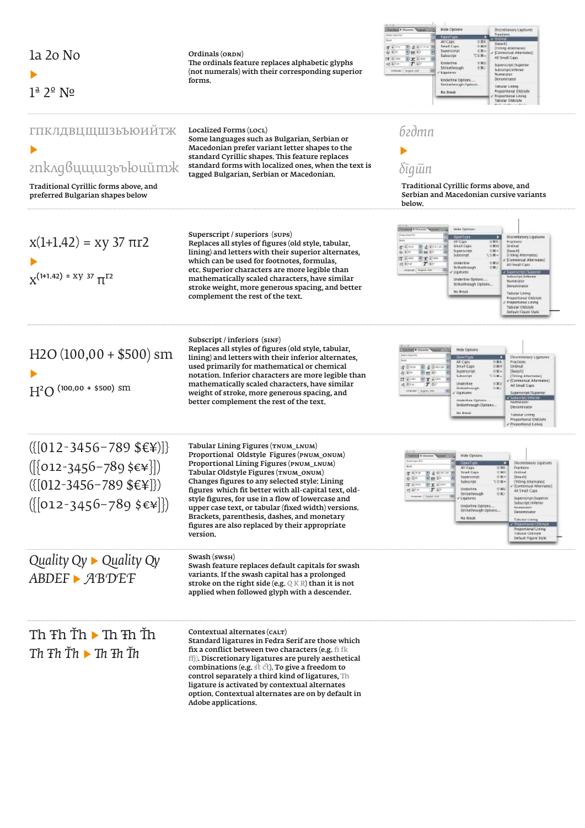| 1a 2o No<br>$1^{\underline{a}}$ $2^{\underline{o}}$ $N^{\underline{o}}$                                                                                                                | Ordinals (ORDN)<br>The ordinals feature replaces alphabetic glyphs<br>(not numerals) with their corresponding superior<br>forms.                                                                                                                                                                                                                                                                                                                                                                     | <b>MEN P</b> Dom<br><b>HER UDEERS</b><br>Discussionally collective<br><b>Fractions</b><br><b>FedEL Suite Fit</b><br><b>CresTyps</b><br>$x$ 00au<br>学業科<br>AII Caps<br>[Swark]<br>全国时<br>图像をついた期<br>Small Cape<br>[Traileng Albermates]<br><b>Supersonat</b><br>受賞の<br>图据中<br>[Contextual Abstrates]<br>Subscript<br>工业第一<br>All Small Caps<br>到宝本→<br><b>Underline</b><br>2.901<br>$T \rightarrow$<br>Superscreensuperior<br>Strikethrough<br>受害亡<br>Subscript (Inferior<br>Distance: Depend com<br><b>IST</b><br>Ligatures<br>Numerator<br>Denomi nator<br>Underline Options.<br>Strikerhrough Options.<br>Tologian Linkson<br>Proportional Oldstyle<br><b>No Break</b><br>Proportional Lineag<br>Tabular Oldstyle |
|----------------------------------------------------------------------------------------------------------------------------------------------------------------------------------------|------------------------------------------------------------------------------------------------------------------------------------------------------------------------------------------------------------------------------------------------------------------------------------------------------------------------------------------------------------------------------------------------------------------------------------------------------------------------------------------------------|---------------------------------------------------------------------------------------------------------------------------------------------------------------------------------------------------------------------------------------------------------------------------------------------------------------------------------------------------------------------------------------------------------------------------------------------------------------------------------------------------------------------------------------------------------------------------------------------------------------------------------------------------------------------------------------------------------------------|
| <b>ГПКЛДВЦЩШЗЬЪЮИЙТЖ</b><br>znk^gвцщшзьъюийтж<br>Traditional Cyrillic forms above, and<br>preferred Bulgarian shapes below                                                             | Localized Forms (LOCL)<br>Some languages such as Bulgarian, Serbian or<br>Macedonian prefer variant letter shapes to the<br>standard Cyrillic shapes. This feature replaces<br>standard forms with localized ones, when the text is<br>tagged Bulgarian, Serbian or Macedonian.                                                                                                                                                                                                                      | бгдтп<br>δīgūin<br>Traditional Cyrillic forms above, and<br>Serbian and Macedonian cursive variants<br>below.                                                                                                                                                                                                                                                                                                                                                                                                                                                                                                                                                                                                       |
| $x(1+1.42) = xy 37 \pi r2$<br>$Y^{(1+1.42)} = XY 37 \pi^{T2}$                                                                                                                          | Superscript / superiors (sups)<br>Replaces all styles of figures (old style, tabular,<br>lining) and letters with their superior alternates,<br>which can be used for footnotes, formulas,<br>etc. Superior characters are more legible than<br>mathematically scaled characters, have similar<br>stroke weight, more generous spacing, and better<br>complement the rest of the text.                                                                                                               | Hide Options<br>Discretionary Ligaranos<br><b>BarnTyss</b><br><b>Präckens</b><br>All Caps<br>日常机<br><b>STATE CADA</b><br>OMH<br>图像中112円<br><b>Did inside</b><br>$T = 1 - 1$<br>Suserscript<br>D 36 =<br>[Severk]<br>의 ## 주는<br><b>De 12</b> (4)<br>[Titling Alternates]<br>Subscript<br>天白菜=<br>网络亚洲<br>[Contestual Abernates]<br>Underline<br>立実日<br>$T \Leftrightarrow$<br>All Snull Card<br>Strikuthrough<br>DW:<br>Ligatures<br>of Submissional Superior<br>Suitan entity in leader to a<br>Underline Options<br>Numerator<br>Strikethrough Options<br>Denominator<br>No Break<br>Tabular Lining<br>Proportional Oldstyle<br>Prescriteral Lining<br>Tabular Oldstyle<br>Default Figure Style                    |
| $H2O(100,00 + $500)$ sm<br>$(100,00 + $500)$ SM<br>H <sup>2</sup> O                                                                                                                    | Subscript / inferiors (SINF)<br>Replaces all styles of figures (old style, tabular,<br>lining) and letters with their inferior alternates,<br>used primarily for mathematical or chemical<br>notation. Inferior characters are more legible than<br>mathematically scaled characters, have similar<br>weight of stroke, more generous spacing, and<br>better complement the rest of the text.                                                                                                        | <b>Standard # Chancer Separate 100</b><br>Hide Options<br><b>PARK Stone Road</b><br>Discretionary Ligatures<br>白翼形<br><b>Fractions</b><br>All Casti<br>图 金山山 目<br>Small Caps<br>OWH<br>overal<br>IT Disks<br>白耳叶<br>[Swash]<br>Superscript<br>图相对<br><b>て0米。</b><br>[Titling Atternates]<br>Sutterript<br>$E(T+1)$<br>11.7<br>[Cortestasi Alternates]<br>$0 \times 0$<br>$T =$<br>Underline<br>経済所<br>All Small Caps<br>Strikethrough<br>0.96<br>Infraser C. Evans, 198<br>Superscript/Superior<br>Ligatures<br>e laboritat/inhite<br>Underline Options<br>Numerator<br>Strikethrough Cigtiges<br>Denominator<br>No Brask<br>Tabular Lining<br>Proportional Oldstyle<br>Preportional Lining                         |
| $({[012-3456-789 \text{ $$E$}^{\text{*}})]}$<br>$([012-3456-789 \; \text{S} \cdot \text{V}$<br>$({[012-3456-789 \; \text{£} \cdot \text{)}])}$<br>$(\{[012-3456-789 \; \text{$E*}]\})$ | Tabular Lining Figures (TNUM_LNUM)<br>Proportional Oldstyle Figures (PNUM_ONUM)<br>Proportional Lining Figures (PNUM_LNUM)<br>Tabular Oldstyle Figures (TNUM_ONUM)<br>Changes figures to any selected style: Lining<br>figures which fit better with all-capital text, old-<br>style figures, for use in a flow of lowercase and<br>upper case text, or tabular (fixed width) versions.<br>Brackets, parenthesis, dashes, and monetary<br>figures are also replaced by their appropriate<br>version. | <b>Hide Options</b><br><b>ConsType</b><br><b>Oklonesionary Ligatures</b><br>o<br>All Caps<br><b>位别区</b><br>Fractions<br>图 金英国口<br>Small Caps<br>合属社<br><b>Ordinal</b><br>œ.<br>$O$ M=<br>(Swissin)<br>剾<br>Superstript<br>国務局<br>安洋市<br>Subscript:<br>下行第一<br>[Titing Allamates]<br>$\Pi$ 4 mm<br>图工 9 1004<br>(Contentual Alternates)<br>Underline<br>Q MU<br>$T =$<br>All Small Caps<br>Strikethrough<br>登案儿<br>田<br>Superson pt/Superior<br>v Ugatures<br>Subscript/Inferior<br>Underline Options.<br>Numerator<br>Strikethrough Options<br>Denominator<br>No Break<br>Tabular Lining<br><b>Report long Oil</b><br>Proportional Lining<br><b>Tabular Oldstyle</b><br>Default Figure Style                        |
| Quality $Qy \triangleright Q$ uality $Qy$<br><b>ABDEF ▶ ABDEF</b>                                                                                                                      | Swash (sws <sub>H</sub> )<br>Swash feature replaces default capitals for swash<br>variants. If the swash capital has a prolonged<br>stroke on the right side (e.g. $Q K R$ ) than it is not<br>applied when followed glyph with a descender.                                                                                                                                                                                                                                                         |                                                                                                                                                                                                                                                                                                                                                                                                                                                                                                                                                                                                                                                                                                                     |
| Th $Fh$ Th $\blacktriangleright$ Th $Fh$ Th<br>Th $Th \rhd Th$ $\blacktriangleright$ Th $Th \rhd Th$                                                                                   | Contextual alternates (CALT)<br>Standard ligatures in Fedra Serif are those which<br>fix a conflict between two characters (e.g. fi fk<br>ffj). Discretionary ligatures are purely aesthetical<br>combinations (e.g. st ct). To give a freedom to<br>control separately a third kind of ligatures, Th<br>ligature is activated by contextual alternates<br>option. Contextual alternates are on by default in<br>Adobe applications.                                                                 |                                                                                                                                                                                                                                                                                                                                                                                                                                                                                                                                                                                                                                                                                                                     |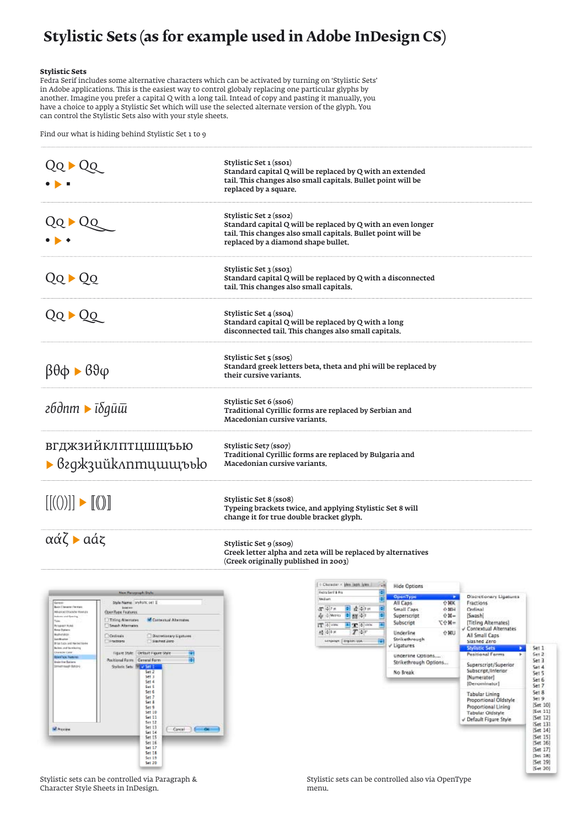## **Stylistic Sets (as for example used in Adobe InDesign CS)**

#### **Stylistic Sets**

Fedra Serif includes some alternative characters which can be activated by turning on 'Stylistic Sets' in Adobe applications. This is the easiest way to control globaly replacing one particular glyphs by another. Imagine you prefer a capital Q with a long tail. Intead of copy and pasting it manually, you have a choice to apply a Stylistic Set which will use the selected alternate version of the glyph. You can control the Stylistic Sets also with your style sheets.

Find our what is hiding behind Stylistic Set 1 to 9

| $\blacktriangleright$ Qq                                                                                                                                                                                                                                                                                                                                                                                                                                                                                                                                                                                                                                                                                                                                                                                                                                                                                                           | Stylistic Set 1 (sso1)<br>Standard capital Q will be replaced by Q with an extended<br>tail. This changes also small capitals. Bullet point will be<br>replaced by a square.                  |                                                                                                                                                                                                                                                                          |                                                                                                                                                                                                                                                                                                                                                                                                                                                                                                                                                                                                                          |
|------------------------------------------------------------------------------------------------------------------------------------------------------------------------------------------------------------------------------------------------------------------------------------------------------------------------------------------------------------------------------------------------------------------------------------------------------------------------------------------------------------------------------------------------------------------------------------------------------------------------------------------------------------------------------------------------------------------------------------------------------------------------------------------------------------------------------------------------------------------------------------------------------------------------------------|-----------------------------------------------------------------------------------------------------------------------------------------------------------------------------------------------|--------------------------------------------------------------------------------------------------------------------------------------------------------------------------------------------------------------------------------------------------------------------------|--------------------------------------------------------------------------------------------------------------------------------------------------------------------------------------------------------------------------------------------------------------------------------------------------------------------------------------------------------------------------------------------------------------------------------------------------------------------------------------------------------------------------------------------------------------------------------------------------------------------------|
| QQ ▶ QQ                                                                                                                                                                                                                                                                                                                                                                                                                                                                                                                                                                                                                                                                                                                                                                                                                                                                                                                            | Stylistic Set 2 (sso2)<br>Standard capital Q will be replaced by Q with an even longer<br>tail. This changes also small capitals. Bullet point will be<br>replaced by a diamond shape bullet. |                                                                                                                                                                                                                                                                          |                                                                                                                                                                                                                                                                                                                                                                                                                                                                                                                                                                                                                          |
| $QQ \triangleright QQ$                                                                                                                                                                                                                                                                                                                                                                                                                                                                                                                                                                                                                                                                                                                                                                                                                                                                                                             | Stylistic Set 3 (sso3)<br>Standard capital Q will be replaced by Q with a disconnected<br>tail. This changes also small capitals.                                                             |                                                                                                                                                                                                                                                                          |                                                                                                                                                                                                                                                                                                                                                                                                                                                                                                                                                                                                                          |
| $QQ \triangleright QQ$                                                                                                                                                                                                                                                                                                                                                                                                                                                                                                                                                                                                                                                                                                                                                                                                                                                                                                             | Stylistic Set 4 (sso4)<br>Standard capital Q will be replaced by Q with a long<br>disconnected tail. This changes also small capitals.                                                        |                                                                                                                                                                                                                                                                          |                                                                                                                                                                                                                                                                                                                                                                                                                                                                                                                                                                                                                          |
| $\beta \theta \phi \triangleright \beta \theta \phi$                                                                                                                                                                                                                                                                                                                                                                                                                                                                                                                                                                                                                                                                                                                                                                                                                                                                               | Stylistic Set 5 (sso5)<br>Standard greek letters beta, theta and phi will be replaced by<br>their cursive variants.                                                                           |                                                                                                                                                                                                                                                                          |                                                                                                                                                                                                                                                                                                                                                                                                                                                                                                                                                                                                                          |
| гбдпт $\blacktriangleright$ ī $\delta$ qū $\bar{u}$                                                                                                                                                                                                                                                                                                                                                                                                                                                                                                                                                                                                                                                                                                                                                                                                                                                                                | Stylistic Set 6 (sso6)<br>Traditional Cyrillic forms are replaced by Serbian and<br>Macedonian cursive variants.                                                                              |                                                                                                                                                                                                                                                                          |                                                                                                                                                                                                                                                                                                                                                                                                                                                                                                                                                                                                                          |
| <b>ВГДЖЗИЙКЛПТЦШЩЪЬЮ</b>                                                                                                                                                                                                                                                                                                                                                                                                                                                                                                                                                                                                                                                                                                                                                                                                                                                                                                           | Stylistic Set7 (sso7)<br>Traditional Cyrillic forms are replaced by Bulgaria and<br>Macedonian cursive variants.                                                                              |                                                                                                                                                                                                                                                                          |                                                                                                                                                                                                                                                                                                                                                                                                                                                                                                                                                                                                                          |
| $[[(0)]] \rightarrow [[0]]$                                                                                                                                                                                                                                                                                                                                                                                                                                                                                                                                                                                                                                                                                                                                                                                                                                                                                                        | Stylistic Set 8 (sso8)<br>Typeing brackets twice, and applying Stylistic Set 8 will<br>change it for true double bracket glyph.                                                               |                                                                                                                                                                                                                                                                          |                                                                                                                                                                                                                                                                                                                                                                                                                                                                                                                                                                                                                          |
| $\alpha\acute{\alpha}\zeta$ $\blacktriangleright$ $\alpha\acute{\alpha}\zeta$                                                                                                                                                                                                                                                                                                                                                                                                                                                                                                                                                                                                                                                                                                                                                                                                                                                      | Stylistic Set 9 (sso9)<br>Greek letter alpha and zeta will be replaced by alternatives<br>(Greek originally published in 2003)                                                                |                                                                                                                                                                                                                                                                          |                                                                                                                                                                                                                                                                                                                                                                                                                                                                                                                                                                                                                          |
| <b>Mon Passemaph Style</b><br>Style Name:   HyltSFK 141 E<br>Govern<br><b>Basic Chevrolet Permane</b><br><b>Listen</b><br><b>MARKED SUMMER</b><br>OpenType Features<br>down and Gearing<br>Titling Alternates<br><b>M</b> Contestual Abstrates<br>Take<br>Sweek Alternation<br><b>Personality</b> Ruled<br><b>Boxe Detient</b><br><b>BURATION</b><br>Cydesia<br><b>Bacefacey Ligitures</b><br><b>Landswitz</b><br>Fractions<br>Suited Zero<br>Brian base and harded banks<br>Buries, and his mission<br>Distancer Care<br>Figure Style: Oetsuit Figure Style<br><b>EDENTICA FARMIS</b><br>m<br>Positional Farm: General Farm<br>sie in Sales<br><b>Interview Reservated</b><br>Switch: Sets: Mary Stall<br>Set 2<br>Set 3<br>541.4<br>Set 5<br>Set 6<br>Set 7<br>Set &<br>Set 9<br>Set 10<br>Set 11<br>Set 12<br>Set 13<br><b>IN</b> President<br>Cancel   DE<br>Sat14<br>Set 15<br>Set 16<br>Set 17<br>Set 18<br>Set 19<br>Set 20 | c Character / jihn Japh With Card<br>Medium<br>$37 + 7 =$<br>中 改造1日<br>Age of Metrics<br><b>P AV +1</b><br>E T 4 MW<br>IT 4 loss:<br>п<br><b>杨 中</b><br>$T$ or<br>繭<br>Linguage: Engine USA   | <b>Hide Options</b><br>OpenType<br>$\rightarrow$<br>$0$ $K$<br>All Caps<br>Small Caps<br>$0 H$ H<br>Superscript<br>$6H -$<br>$=$ <b>N</b> $97$<br>Subscript<br>Underline<br>0 HU<br>Strikethrough<br>Ligatures<br>Underline Options<br>Strikethrough Options<br>No Break | Discretionary Ligatures<br>Fractions<br>Ordinal<br>Swash]<br>[Titling Alternates]<br>V Contextual Alternates<br>All Small Caps<br>Slashed Zero<br><b>Stylistic Sets</b><br>5e11<br>٠<br>Positional Forms<br>Set 2<br>Set 3<br>Superscript/Superior<br>5e14<br>Subscript/Inferior<br>5e15<br>[Numerator]<br>Set 6<br>[Denominator]<br>Set 7<br>5e18<br><b>Tabular Lining</b><br>5e19<br>Proportional Oldstyle<br>Set 10]<br>Proportional Lining<br>[Set 11]<br><b>Tabular Oldstyle</b><br>[Set 12]<br>√ Default Figure Style<br>Set 131<br>[Set 14]<br>[5et 15]<br>Set 16)<br>Set 17]<br>[Set 18]<br>[Set 19]<br>[Set 20] |

Stylistic sets can be controlled via Paragraph & Character Style Sheets in InDesign.